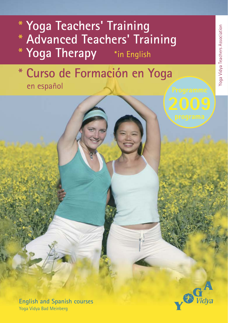# **Yoga Teachers' Training Advanced Teachers' Training Yoga Therapy** \*in English

# **Curso de Formación en Yoga**  en español



**English and Spanish courses** Yoga Vidya Bad Meinberg

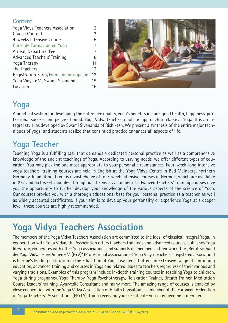### **Content**

| Yoga Vidya Teachers Association        | 2  |
|----------------------------------------|----|
| <b>Course Content</b>                  | 3  |
| 4-weeks Intensive Course               | 5  |
| Curso de Formación en Yoga             | 7  |
| Arrival, Departure, Fee                | 7  |
| Advanced Teachers' Training            | 8  |
| Yoga Therapy                           | 11 |
| The Teachers                           | 12 |
| Registration Form/Forma de inscripción | 13 |
| Yoga Vidya e.V., Swami Sivananda       | 15 |
| Location                               | 16 |



### **Yoga**

A practical system for developing the entire personality, yoga's benefits include good health, happiness, professional success and peace of mind. Yoga Vidya teaches a holistic approach to classical Yoga. It is an integral style, as developed by Swami Sivananda of Rishikesh. We present a synthesis of the entire major techniques of yoga, and students realize that continued practice enhances all aspects of life.

### **Yoga Teacher**

Teaching Yoga is a fulfilling task that demands a dedicated personal practice as well as a comprehensive knowledge of the ancient teachings of Yoga. According to varying needs, we offer different types of education. You may pick the one most appropriate to your personal circumstances. Four-week-long intensive yoga teachers' training courses are held in English at the Yoga Vidya Centre in Bad Meinberg, northern Germany. In addition, there is a vast choice of four-week intensive courses in German, which are available in 2x2 and 4x1 week modules throughout the year. A number of advanced teachers' training courses give you the opportunity to further develop your knowledge of the various aspects of the science of Yoga. Our courses provide you with a thorough educational base for your personal practice as a teacher, as well as widely accepted certificates. If your aim is to develop your personality or experience Yoga at a deeper level, these courses are highly recommended.

## **Yoga Vidya Teachers Association**

The members of the Yoga Vidya Teachers Association are committed to the ideal of classical integral Yoga. In cooperation with Yoga Vidya, the Association offers teachers trainings and advanced courses, publishes Yoga literature, cooperates with other Yoga associations and supports its members in their work. The "Berufsverband der Yoga Vidya Lehrer/innen e.V. (BYV)" (Professional association of Yoga Vidya Teachers - registered association) is Europe's leading institution in the education of Yoga Teachers. It offers an extensive range of continuing education, advanced training and courses in Yoga and related issues to teachers regardless of their various and varying traditions. Examples of this program include in-depth training courses in teaching Yoga to children, Yoga during pregnancy, Yoga Therapy, Yoga Psychotherapy, Relaxation Trainer, Breath Trainer, Meditation Course Leaders' training, Ayurvedic Consultant and many more. The amazing range of courses is enabled by close cooperation with the Yoga Vidya Association of Health Consultants, a member of the European Federation of Yoga Teachers´ Associations (EFYTA). Upon receiving your certificate you may become a member.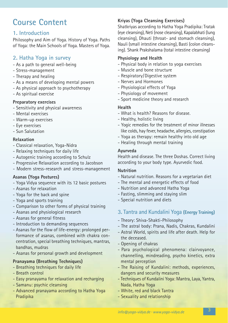### **Course Content**

### **1. Introduction**

Philosophy and Aim of Yoga. History of Yoga. Paths of Yoga: the Main Schools of Yoga. Masters of Yoga.

### **2. Hatha Yoga in survey**

- As a path to general well-being
- Stress-management
- Therapy and healing
- As a means of developing mental powers
- As physical approach to psychotherapy
- As spiritual exercise

#### **Preparatory exercises**

- Sensitivity and physical awareness
- Mental exercises
- Warm-up exercises
- Eye exercises
- Sun Salutation

#### **Relaxation**

- Classical relaxation, Yoga-Nidra
- Relaxing techniques for daily life
- Autogenic training according to Schulz
- Progressive Relaxation according to Jacobson
- Modern stress-research and stress-management

#### **Asanas (Yoga Postures)**

- Yoga Vidya sequence with its 12 basic postures
- Asanas for relaxation
- Yoga for the back and spine
- Yoga and sports training
- Comparison to other forms of physical training
- Asanas and physiological research
- Asanas for general fitness
- Introduction to demanding sequences
- Asanas for the flow of life-energy: prolonged performance of asanas, combined with chakra concentration, special breathing techniques, mantras, bandhas, mudras
- Asanas for personal growth and development

#### **Pranayama (Breathing Techniques)**

- Breathing techniques for daily life
- Breath control
- Easy pranayama for relaxation and recharging
- Samanu: psychic cleansing
- Advanced pranayama according to Hatha Yoga Pradipika

### **Kriyas (Yoga Cleansing Exercises)**

Shatkriyas according to Hatha Yoga Pradipika: Tratak (eye cleansing), Neti (nose cleansing), Kapalabhati (lung cleansing), Dhauti (throat- and stomach cleansing), Nauli (small intestine cleansing), Basti (colon cleansing). Shank Prakshalama (total intestine cleansing)

### **Physiology and Health**

- Physical body in relation to yoga exercises
- Muscle and bone structure
- Respiratory/Digestive system
- Nerves and Hormones
- Physiological effects of Yoga
- Physiology of movement
- Sport medicine theory and research

### **Health**

- What is health? Reasons for disease.
- Healthy, holistic living
- Yogic remedies for the treatment of minor illnesses like colds, hay fever, headache, allergies, constipation
- Yoga as therapy: remain healthy into old age
- Healing through mental training

#### **Ayurveda**

Health and disease. The three Doshas. Correct living according to your body type. Ayurvedic food.

#### **Nutrition**

- Natural nutrition. Reasons for a vegetarian diet
- The mental and energetic effects of food
- Nutrition and advanced Hatha Yoga
- Fasting, slimming and staying slim
- Special nutrition and diets
- **3. Tantra and Kundalini Yoga (Energy Training)**
- Theory: Shiva-Shakti-Philosophy
- The astral body: Prana, Nadis, Chakras, Kundalini
- Astral World, spirits and life after death. Help for the deceased.
- Opening of chakras
- Para psychological phenomena: clairvoyance, channelling, mindreading, psycho kinetics, extra mental perception
- The Raising of Kundalini: methods, experiences, dangers and security measures
- Techniques of Kundalini Yoga: Mantra, Laya, Yantra, Nada, Hatha Yoga
- White, red and black Tantra
- Sexuality and relationship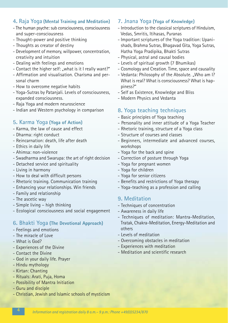### **4. Raja Yoga (Mental Training and Meditation)**

- The human psyche: sub consciousness, consciousness and super-consciousness
- Thought-power and positive thinking
- Thoughts as creator of destiny
- Development of memory, willpower, concentration, creativity and intuition
- Dealing with feelings and emotions
- Contact the higher self: "what is it I really want?"
- Affirmation and visualisation. Charisma and personal charm
- How to overcome negative habits
- Yoga-Sutras by Patanjali. Levels of consciousness, expanded consciousness.
- Raja Yoga and modern neuroscience
- Indian and Western psychology in comparison

### **5. Karma Yoga (Yoga of Action)**

- Karma, the law of cause and effect
- Dharma: right conduct
- Reincarnation: death, life after death
- Ethics in daily life
- Ahimsa: non-violence
- Swadharma and Swarupa: the art of right decision
- Detached service and spirituality
- Living in harmony
- How to deal with difficult persons
- Rhetoric training. Communication training
- Enhancing your relationships. Win friends
- Family and relationship
- The ascetic way
- Simple living high thinking
- Ecological consciousness and social engagement

### **6. Bhakti Yoga (The Devotional Approach)**

- Feelings and emotions
- The miracle of Love
- What is God?
- Experiences of the Divine
- Contact the Divine
- God in your daily life. Prayer
- Hindu mythology
- Kirtan: Chanting
- Rituals: Arati, Puja, Homa
- Possibility of Mantra Initiation
- Guru and disciple

#### - Christian, Jewish and Islamic schools of mysticism

### **7. Jnana Yoga (Yoga of Knowledge)**

- Introduction to the classical scriptures of Hinduism, Vedas, Smritis, Itihasas, Puranas
- Important scriptures of the Yoga tradition: Upanishads, Brahma Sutras, Bhagavad Gita, Yoga Sutras, Hatha Yoga Pradipika, Bhakti Sutras
- Physical, astral and causal bodies
- Levels of spiritual growth (7 Bhumikas)
- Cosmology and Creation. Time, space and causality
- Vedanta: Philosophy of the Absolute. "Who am I? What is real? What is consciousness? What is happiness?"
- Self as Existence, Knowledge and Bliss
- Modern Physics and Vedanta

### **8. Yoga teaching techniques**

- Basic principles of Yoga teaching
- Personality and inner attitude of a Yoga Teacher
- Rhetoric training, structure of a Yoga class
- Structure of courses and classes
- Beginners, intermediate and advanced courses, workshops
- Yoga for the back and spine
- Correction of posture through Yoga
- Yoga for pregnant women
- Yoga for children
- Yoga for senior citizens
- Benefits and restrictions of Yoga therapy
- Yoga-teaching as a profession and calling

### **9. Meditation**

- Techniques of concentration
- Awareness in daily life
- Techniques of meditation: Mantra-Meditation, Tratak, Chakra-Meditation, Energy-Meditation and others
- Levels of meditation
- Overcoming obstacles in meditation
- Experiences with meditation
- Meditation and scientific research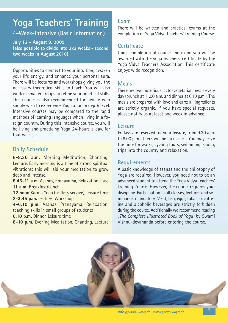### **Yoga Teachers' Training**

**4-Week-Intensive (Basic Information)**

**July 12 - August 9, 2009 (also possible to divide into 2x2 weeks - second two weeks in August 2010)**

Opportunities to connect to your intuition, awaken your life energy, and enhance your personal aura. There will be lectures and workshops giving you the necessary theoretical skills to teach. You will also work in smaller groups to refine your practical skills. This course is also recommended for people who simply wish to experience Yoga at an in depth level. Intensive courses may be compared to the rapid methods of learning languages when living in a foreign country. During this intensive course, you will be living and practicing Yoga 24-hours a day, for four weeks.

### **Daily Schedule**

**6-8.30 a.m.** Morning Meditation, Chanting, Lecture. Early morning is a time of strong spiritual vibrations; this will aid your meditation to grow deep and intense.

**8.45-11 a.m.** Asanas, Pranayama, Relaxation class **11 a.m.** Breakfast/Lunch

**12 noon** Karma Yoga (selfless service), leisure time **2-3.45 p.m.** Lecture, Workshop

**4-6.10 p.m.** Asanas, Pranayama, Relaxation, teaching skills in small groups of students

**6.10 p.m.** Dinner, Leisure time

**8-10 p.m.** Evening Meditation, Chanting, Lecture

### **Exam**

There will be written and practical exams at the completion of Yoga Vidya Teachers' Training Course.

### **Certificate**

Upon completion of course and exam you will be awarded with the yoga teachers' certificate by the Yoga Vidya Teachers Association. This certificate enjoys wide recognition.

### **Meals**

There are two nutritious lacto-vegetarian meals every day (brunch at 11.00 a.m. and dinner at 6.10 p.m.). The meals are prepared with love and care; all ingredients are strictly organic. If you have special requests, please notify us at least one week in advance.

### **Leisure**

Fridays are reserved for your leisure, from 9.30 a.m. to 8.00 p.m.. There will be no classes. You may seize the time for walks, cycling tours, swimming, sauna, trips into the country and relaxation.

### **Requirements**

A basic knowledge of asanas and the philosophy of Yoga are required. However, you need not to be an advanced student to attend the Yoga Vidya Teachers' Training Course. However, the course requires your discipline. Participation in all classes, lectures and seminars is mandatory. Meat, fish, eggs, tobacco, caffeine and alcoholic beverages are strictly forbidden during the course. Additionally we recommend reading *"The Complete Illustrated Book of Yoga"* by Swami Vishnu-devananda before entering the course.

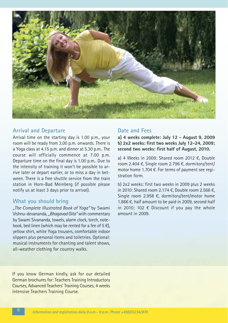

#### **Arrival and Departure**

Arrival time on the starting day is 1.00 p.m., your room will be ready from 3.00 p.m. onwards. There is a Yoga class at 4.15 p.m. and dinner at 5.30 p.m.. The course will officially commence at 7.00 p.m. Departure time on the final day is 1.00 p.m.. Due to the intensity of training it won't be possible to arrive later or depart earlier, or to miss a day in between. There is a free shuttle service from the train station in Horn-Bad Meinberg (if possible please notify us at least 3 days prior to arrival).

#### **What you should bring**

*"The Complete Illustrated Book of Yoga"* by Swami Vishnu-devananda, *"Bhagavad Gita"*with commentary by Swami Sivananda, towels, alarm clock, torch, notebook, bed linen (which may be rented for a fee of  $5 \in \mathbb{C}$ ). yellow shirt, white Yoga trousers, comfortable indoor slippers plus personal items and toiletries. Optional: musical instruments for chanting and talent shows, all-weather clothing for country walks.

If you know German kindly, ask for our detailed German brochures for: Teachers Training Introductory Courses, Advanced Teachers' Training Courses, 4 weeks intensive Teachers Training Course.

### **Date and Fees**

**a) 4 weeks complete: July 12 - August 9, 2009 b) 2x2 weeks: first two weeks July 12-24, 2009; second two weeks: first half of August, 2010.**

a) 4 Weeks in 2009: Shared room 2012 €, Double room 2.404 €, Single room 2.796 €, dormitory/tent/ motor home 1.704 €. For terms of payment see registration form.

b) 2x2 weeks: first two weeks in 2009 plus 2 weeks in 2010: Shared room 2.174 €, Double room 2.566 €, Single room 2.958 €, dormitory/tent/motor home 1.866 €, half amount to be paid in 2009, second half in 2010; 102  $\epsilon$  Discount if you pay the whole amount in 2009.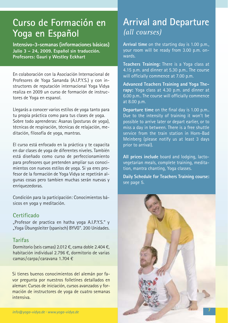### **Curso de Formación en Yoga en Español**

**Intensivo-3-semanas (informaciones básicas) Julio 3 – 24, 2009. Español sin traducción. Profesores: Gauri y Westley Eckhart**

En colaboración con la Asociación Internacional de Profesores de Yoga Sananda (A.I.P.Y.S.) y con instructores de reputación internacional Yoga Vidya realiza en 2009 un curso de formación de instructores de Yoga en espanol.

Llegarás a conocer varios estilos de yoga tanto para tu propia práctica como para tus clases de yoga. Sobre todo aprenderas: Asanas (posturas de yoga), técnicas de respiración, técnicas de relajación, meditación, filosofía de yoga, mantras.

El curso está enfocado en la práctica y te capacita en dar clases de yoga de diferentes niveles. También está diseñado como curso de perfeccionamiento para profesores que pretenden ampliar sus conocimientos con nuevos estilos de yoga. Si ya eres profesor de la formación de Yoga Vidya se repetirán algunas cosas pero tambien muchas serán nuevas y enriquezedoras.

Condición para la participación: Conocimientos básicos en yoga y meditación.

### **Certificado**

"Profesor de practica en hatha yoga A.I.P.Y.S." y "Yoga Übungsleiter (spanisch) BYVG". 200 Unidades.

### **Tarifas**

Dormitorio (seis camas) 2.012 €, cama doble 2.404 €, habitación individual 2.796 €, dormitorio de varias camas/carpa/caravana 1.704 €

Si tienes buenos conocimientos del alemán por favor pregunta por nuestros folletínes detallados en aleman: Cursos de iniciación, cursos avanzados y forma ción de instructores de yoga de cuatro semanas intensiva.

### **Arrival and Departure** *(all courses)*

**Arrival time** on the starting day is 1.00 p.m., your room will be ready from 3.00 p.m. onwards.

**Teachers Training:** There is a Yoga class at 4.15 p.m. and dinner at 5.30 p.m.. The course will officially commence at 7.00 p.m.

**Advanced Teachers Training and Yoga Therapy:** Yoga class at 4.30 p.m. and dinner at 6.00 p.m.. The course will officially commence at 8.00 p.m.

**Departure time** on the final day is 1.00 p.m.. Due to the intensity of training it won't be possible to arrive later or depart earlier, or to miss a day in between. There is a free shuttle service from the train station in Horn-Bad Meinberg (please notify us at least 3 days prior to arrival).

**All prices include** board and lodging, lactovegetarian meals, complete training, meditation, mantra chanting, Yoga classes.

**Daily Schedule for Teachers Training course:** see page 5.

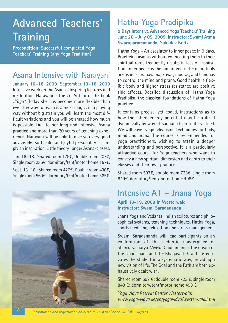## **Advanced Teachers' Training**

**Precondition: Successful completed Yoga Teachers' Training (any Yoga Tradition)**

### **Asana Intensive** with Narayani

**January 16–18, 2009; September 13–18, 2009** Intensive work on the Asanas. Inspiring lectures and meditation. Narayani is the Co-Author of the book *"Yoga".* Today she has become more flexible than ever. Her way to teach is almost magic: in a playing way without big strain you will learn the most difficult variations and you will be amazed how much is possible. Due to her long and intensive Asana practice and more than 20 years of teaching experience, Narayani will be able to give you very good advice. Her soft, calm and joyful personality is simply an inspiration. Little theory, longer Asana-classes.

Jan. 16.-18.: Shared room 179€, Double room 207€, Single room 235€, dormitory/tent/motor home 157€. Sept. 13.-18.: Shared room 420€, Double room 490€, Single room 560€, dormitory/tent/motor home 365€.



### **Hatha Yoga Pradipika**

#### **9 Days Intensive Advanced Yoga Teachers' Training June 26 - July 05, 2009. Instructor: Swami Atma Swaruparamananda, Sukadev Bretz**

Hatha Yoga - An escalator to inner peace in 9 days. Practicing asanas without connecting them to their spiritual roots frequently results in loss of inspiration. Inner peace is the aim of yoga. The main tools are asanas, pranayama, kriyas, mudras, and bandhas to control the mind and prana. Good health, a flexible body and higher stress resistance are positive side effects. Detailed discussion of Hatha Yoga Pradipika, the classical foundations of Hatha Yoga practice.

It contains precise, yet coded, instructions as to how the latent energy potential may be utilized dynamically by way of Sadhana (spiritual practice). We will cover yogic cleansing techniques for body. mind and prana. The course is recommended for yoga practitioners, wishing to attain a deeper understanding and perspective. It is a particularly attractive course for Yoga teachers who want to convey a new spiritual dimension and depth to their classes and their own practice.

Shared room 597€, double room 723€, single room 849€, dormitory/tent/motor home 498€.

### **Intensive A1 – Jnana Yoga**

#### **April 10-19, 2009 in Westerwald Instructor: Swami Saradananda**

Jnana Yoga and Vedanta, Indian scriptures and philosophical systems, teaching techniques, Hatha Yoga, sports medicine, relaxation and stress management.

Swami Saradananda will lead participants on an exploration of the vedantic masterpiece of Shankaracharya. Viveka Chudamani is the cream of the Upanishads and the Bhagavad Gita. It re-educates the student in a systematic way, providing a new vision of life. The Goal and the Path are both exhaustively dealt with.

Shared room 597 €; double room 723 €, single room 849 €; dormitory/tent/motor home 498 €

*Yoga Vidya Retreat Center Westerwald: www.yoga-vidya.de/en/yogavidya/westerwald.html*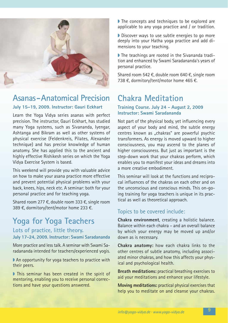

### **Asanas-Anatomical Precision**

### **July 15–19, 2009. Instructor: Gauri Eckhart**

Learn the Yoga Vidya series asanas with perfect precision. The instructor, Gauri Eckhart, has studied many Yoga systems, such as Sivananda, Iyengar, Ashtanga and Bikram as well as other systems of physical exercise (Feldenkreis, Pilates, Alexander technique) and has precise knowledge of human anatomy. She has applied this to the ancient and highly effective Rishikesh series on which the Yoga Vidya Exercise System is based.

This weekend will provide you with valuable advice on how to make your asana practice more effective and prevent potential physical problems with your back, knees, hips, neck etc. A seminar: both for your personal practice and for teaching yoga.

Shared room 277 €, double room 333 €, single room 389 €, dormitory/tent/motor home 233 €.

### **Yoga for Yoga Teachers**

### **Lots of practice, little theory. July 17-24, 2009. Instructor: Swami Saradananda**

More practice and less talk. A seminar with Swami Sara dananda intended for teachers/experienced yogis.

■ An opportunity for yoga teachers to practice with their peers.

◗ This seminar has been created in the spirit of mentoring, enabling you to receive personal corrections and have your questions answered.

■ The concepts and techniques to be explored are applicable to any yoga practice and / or tradition.

◗ Discover ways to use subtle energies to go more deeply into your Hatha yoga practice and add dimensions to your teaching.

■ The teachings are rooted in the Sivananda tradition and enhanced by Swami Saradananda's years of personal practice.

Shared room 542 €, double room 640 €, single room 738 €, dormitory/tent/motor home 465 €.

### **Chakra Meditation**

#### **Training Course. July 24 - August 2, 2009 Instructor: Swami Saradananda**

Not part of the physical body, yet influencing every aspect of your body and mind, the subtle energy centres known as "chakras" are powerful psychic transformers. As energy is moved upward to higher consciousness, you may ascend to the planes of higher consciousness. But just as important is the step-down work that your chakras perform, which enables you to manifest your ideas and dreams into a more creative embodiment.

This seminar will look at the functions and reciprocal influences of the chakras on each other and on the unconscious and conscious minds. This on-going training for yoga teachers is unique in its practical as well as theoretical approach.

### Topics to be covered include:

**Chakra environment**, creating a holistic balance. Balance within each chakra – and an overall balance by which your energy may be moved up and/or down as is necessary.

**Chakra anatomy:** how each chakra links to the other centres of subtle anatomy, including associated minor chakras, and how this affects your physical and psychological health.

**Breath meditations:** practical breathing exercises to aid your meditations and enhance your lifestyle.

**Moving meditations:** practical physical exercises that help you to meditate on and cleanse your chakras.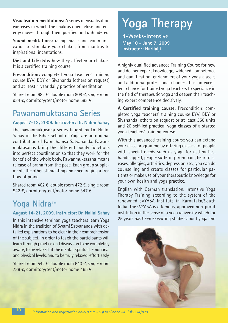**Visualisation meditations:** A series of visualisation exercises in which the chakras open, close and energy moves through them purified and unhindered.

Sound meditations: using music and communication to stimulate your chakra, from mantras to inspirational incantations.

**Diet and Lifestyle:** how they affect your chakras. It is a certified training course.

**Precondition:** completed yoga teachers' training course BYV, BDY or Sivananda (others on request) and at least 1 year daily practice of meditation.

Shared room 682 €, double room 808 €, single room 934 €, dormitory/tent/motor home 583 €.

### **Pawanamuktasana Series**

### **August 7-12, 2009. Instructor: Dr. Nalini Sahay**

The pawanmuktasana series taught by Dr. Nalini Sahay of the Bihar School of Yoga are an original contribution of Parmahamsa Satyananda. Pawanmuktasanas bring the different bodily functions into perfect coordination so that they work for the benefit of the whole body. Pawanmuktasana means release of prana from the pose. Each group supplements the other stimulating and encouraging a free flow of prana.

Shared room 402 €, double room 472 €, single room 542 €, dormitory/tent/motor home 347 €.

### Yoga Nidra™

#### **August 14-21, 2009. Instructor: Dr. Nalini Sahay**

In this intensive seminar, yoga teachers learn Yoga Nidra in the tradition of Swami Satyananda with detailed explanations to be clear in their comprehension of the subject. In order to teach the participants will learn through practice and discussion to be completely aware; to be relaxed at the mental, spiritual, emotional and physical levels, and to be truly relaxed, effortlessly.

Shared room 542 €, double room 640 €, single room 738 €, dormitory/tent/motor home 465 €.

# **Yoga Therapy**

**4-Weeks-Intensive May 10 - June 7, 2009 Instructor: Harilalji**

A highly qualified advanced Training Course for new and deeper expert knowledge, widened competence and qualification, enrichment of your yoga classes and additional professional chances. It is an excellent chance for trained yoga teachers to specialize in the field of therapeutic yoga and deepen their teaching expert competence decisively.

**A Certified training course.** Precondition: completed yoga teachers' training course BYV, BDY or Sivananda, others on request or at least 350 units and 20 self-led practical yoga classes of a started yoga teachers' training course.

With this advanced training course you can extend your class programme by offering classes for people with special needs such as yoga for asthmatics, handicapped, people suffering from pain, heart diseases, allergies, arthritics, depression etc.; you can do counselling and create classes for particular patients or make use of your therapeutic knowledge for your own health and yoga practice.

English with German translation. Intensive Yoga Therapy Training according to the system of the reno wned sVYASA-Instituts in Karnataka/South India. The sVYASA is a famous, approved non-profit institution in the sense of a yoga university which for 25 years has been executing studies about yoga and

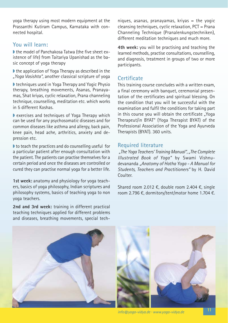yoga therapy using most modern equipment at the Prassanthi Kutiram Campus, Karnataka with connected hospital.

### **You will learn:**

■ the model of Panchakosa Tatwa (the five sheet existence of life) from Taitariya Upanishad as the basic concept of yoga therapy

■ the application of Yoga Therapy as described in the *"Yoga Vasishta"*, another classical scripture of yoga

◗ techniques used in Yoga Therapy and Yogic Physio therapy, breathing movements, Asanas, Pranayamas, Shat kriyas, cyclic relaxation, Prana channeling technique, counselling, meditation etc. which works in 5 different Koshas.

◗ exercises and techniques of Yoga Therapy which can be used for any psychosomatic diseases and for common diseases like asthma and allergy, back pain, knee pain, head ache, arthritics, anxiety and depression etc.

◗ to teach the practices and do counselling useful for a particular patient after enough consultation with the patient. The patients can practise themselves for a certain period and once the diseases are controlled or cured they can practise normal yoga for a better life.

**1st week:** anatomy and physiology for yoga teachers, basics of yoga philosophy, Indian scriptures and philo sophy systems, basics of teaching yoga to non yoga teachers.

**2nd and 3rd week:** training in different practical teaching techniques applied for different problems and diseases, breathing movements, special tech $n$ iques, asanas, pranayamas, kriyas = the yogic cleansing techniques, cyclic relaxation, PCT = Prana Channeling Technique (Pranalenkungstechniken), different meditation techniques and much more.

**4th week:** you will be practising and teaching the learned methods, practise consultations, counselling, and diagnosis, treatment in groups of two or more participants.

### **Certificate**

This training course concludes with a written exam, a final ceremony with banquet, ceremonial presentation of the certificates and spiritual blessing. On the condition that you will be successful with the examination and fulfil the conditions for taking part in this course you will obtain the certificate "Yoga Therapeut/in BYAT" (Yoga Therapist BYAT) of the Professional Association of the Yoga and Ayurveda Therapists (BYAT). 360 units.

### **Required literature**

*"The Yoga Teachers' Training Manual", "The Complete Illustrated Book of Yoga"* by Swami Vishnudeva nanda *"Anatomy of Hatha Yoga - A Manual for Students, Teachers and Practitioners"* by H. David Coulter.

Shared room 2.012 €, double room 2.404 €, single room 2.796 €, dormitory/tent/motor home 1.704 €.



*info@yoga-vidya.de* **·** *www.yoga-vidya.de*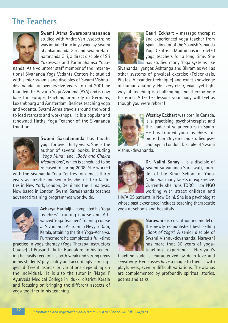### **The Teachers**



**Swami Atma Swaruparamananda** studied with Andre Van Lysebeth; he was initiated into kriya yoga by Swami Shankarananda Giri and Swami Hariharananda Giri, a direct disciple of Sri Yukteswar and Paramahamsa Yoga-

nanda. As a volunteer staff member of the International Sivananda Yoga Vedanta Centers he studied with senior swamis and disciples of Swami Vishnudevananda for over twelve years. In mid 2001 he founded the Advaita Yoga Ashrama (AYA) and is now based in Europe, teaching primarily in Germany, Luxembourg and Amsterdam. Besides teaching yoga and vedanta, Swami Atma travels around the world to lead retreats and workshops. He is a popular and renowned Hatha Yoga Teacher of the Sivananda tradition.



**Swami Saradananda** has taught yoga for over thirty years. She is the author of several books, including *"Yoga Mind"* and *"Body and Chakra Meditations"*, which is scheduled to be released in spring 2008. She worked

with the Sivananda Yoga Centres for almost thirty years, as director and senior teacher of their facilities in New York, London, Delhi and the Himalayas. Now based in London, Swami Saradananda teaches advanced training programmes worldwide.



**Acharya Harilalji** – completed his Yoga Teachers' training course and Advanced Yoga Teachers' Training course at Sivananda Ashram in Neyyar Dam, Kerala, attaining the title Yoga-Acharya. Furthermore he completed a full-time

practice in yoga therapy (Yoga Therapy Instructors Course) at Prasanthi kutir, Bangalore. In his teaching he easily recognizes both weak and strong areas in his students' physicality and accordingly can suggest different asanas or variations depending on the individual. He is also the tutor in 'Nagelil' Ayurveda Medical College in Idukki district, Kerala and focusing on bringing the different aspects of yoga together in his teaching.



**Gauri Eckhart** - massage therapist and experienced yoga teacher from Spain, director of the Spanish Sananda Yoga Centre in Madrid has instructed yoga teachers for a long time. She has studied many Yoga systems like

Sivananda, Iyengar, Ashtanga and Bikram as well as other systems of physical exercise (Feldenkrais, Pilates, Alexander technique) and exact knowledge of human anatomy. Her very clear, exact yet light way of teaching is challenging and thereby very fostering. After her lessons your body will feel as though you were reborn!



**Westley Eckhart** was born in Canada, is a practising psychotherapist and the leader of yoga centres in Spain. He has trained yoga teachers for more than 25 years and studied psychology in London. Disciple of Swami

Vishnu-devananda.



**Dr. Nalini Sahay** - is a disciple of Swami Satyananda Saraswati, founder of the Bihar School of Yoga. Nalini has many facets of experience. Currently she runs TORCH, an NGO working with street children and

HIV/AIDS patients in New Delhi. She is a psychologist whose past experience includes teaching therapeutic yoga at schools and hospitals.



**Narayani** - is co-author and model of the newly re-published best selling *"Book of Yoga"*. A senior disciple of Swami Vishnu-devananda, Narayani has more that 30 years of yogateaching experience. Narayani's

teaching style is characterized by deep love and sensitivity. Her classes have a magic to them – with playfulness, even in difficult variations. The asanas are complemented by profoundly spiritual stories, poems and talks.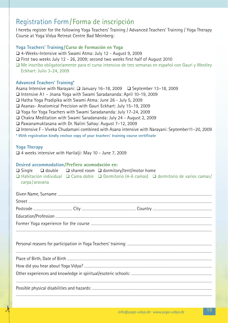### Registration Form/Forma de inscripción

 $\lambda$ 

I hereby register for the following Yoga Teachers' Training / Advanced Teachers' Training / Yoga Therapy Course at Yoga Vidya Retreat Centre Bad Meinberg:

| □ 4-Weeks-Intensive with Swami Atma: July 12 - August 9, 2009                                                                                                                             |
|-------------------------------------------------------------------------------------------------------------------------------------------------------------------------------------------|
|                                                                                                                                                                                           |
| □ First two weeks July 12 - 26, 2009; second two weeks first half of August 2010<br>□ Me inscribo obligatoriamente para el curso intensivo de tres semanas en español con Gauri y Westley |
| Eckhart: Julio 3-24, 2009                                                                                                                                                                 |
|                                                                                                                                                                                           |
| <b>Advanced Teachers' Training*</b>                                                                                                                                                       |
| Asana Intensive with Narayani: □ January 16-18, 2009 □ September 13-18, 2009<br>□ Intensive A1 - Jnana Yoga with Swami Saradananda: April 10-19, 2009                                     |
| □ Hatha Yoga Pradipika with Swami Atma: June 26 - July 5, 2009                                                                                                                            |
| □ Asanas- Anatomical Precision with Gauri Eckhart: July 15-19, 2009                                                                                                                       |
| □ Yoga for Yoga Teachers with Swami Saradananda: July 17-24, 2009                                                                                                                         |
| □ Chakra Meditation with Swami Saradananda: July 24 - August 2, 2009                                                                                                                      |
| □ Pawanamuktasana with Dr. Nalini Sahay: August 7-12, 2009<br>□ Intensive F - Viveka Chudamani combined with Asana intensive with Narayani: September11-20, 2009                          |
| * With registration kindly enclose copy of your teachers' training course certificate                                                                                                     |
|                                                                                                                                                                                           |
| <b>Yoga Therapy</b>                                                                                                                                                                       |
| □ 4 weeks intensive with Harilalji: May 10 - June 7, 2009                                                                                                                                 |
| Desired accommodation/Prefiero acomodación en:                                                                                                                                            |
| $\Box$ double $\Box$ shared room $\Box$ dormitory/tent/motor home<br>$\Box$ Single                                                                                                        |
| □ Habitación individual □ Cama doble □ Dormitorio (4-6 camas) □ dormitorio de varios camas/                                                                                               |
|                                                                                                                                                                                           |
| carpa/aravana                                                                                                                                                                             |
|                                                                                                                                                                                           |
|                                                                                                                                                                                           |
|                                                                                                                                                                                           |
|                                                                                                                                                                                           |
|                                                                                                                                                                                           |
|                                                                                                                                                                                           |
|                                                                                                                                                                                           |
|                                                                                                                                                                                           |
|                                                                                                                                                                                           |
|                                                                                                                                                                                           |
|                                                                                                                                                                                           |
|                                                                                                                                                                                           |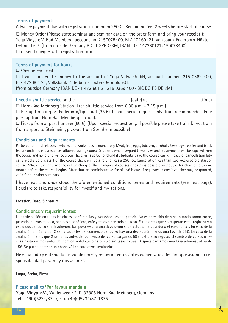#### **Terms of payment:**

Advance payment due with registration: minimum 250 € . Remaining fee: 2 weeks before start of course.

 $\Box$  Money Order (Please state seminar and seminar date on the order form and bring your receipt!): Yoga Vidya e.V. Bad Meinberg, account no. 2150078400, BLZ 47260121, Volksbank Paderborn-Höxter-Detmold e.G. (from outside Germany BIC: DGPBDE3M, IBAN: DE41472601212150078400)  $\Box$  or send cheque with registration form

#### **Terms of payment for books**

 $\Box$  Cheque enclosed

q I will transfer the money to the account of Yoga Vidya GmbH, account number: 215 0369 400, BLZ 472 601 21, Volksbank Paderborn-Höxter-Detmold e.G.

(from outside Germany IBAN DE 41 472 601 21 215 0369 400 · BIC DG PB DE 3M)

**I need a shuttle service** on the .................................................................................. (date) at .............................................................................. (time) □ Horn-Bad Meinberg Station (Free shuttle service from 8.30 a.m. - 7.15 p.m.)

q Pickup from airport Paderborn/Lippstadt (35 €). (Upon special request only. Train recommended. Free pick-up from Horn Bad Meinberg station).

q Pickup from airport Hanover (60 €). (Upon special request only. If possible please take train. Direct train from airport to Steinheim, pick-up from Steinheim possible)

#### **Conditions and Requirements**

Participation in all classes, lectures and workshops is mandatory. Meat, fish, eggs, tobacco, alcoholic beverages, coffee and black tea are under no circumstances allowed during course. Students who disregard these rules and requirements will be expelled from the course and no refund will be given. There will also be no refund if students leave the course early. In case of cancellation latest 2 weeks before start of the course there will be a refund, less a 25€ fee. Cancellation less than two weeks before start of course: 50% of the regular price will be charged. The changing of courses or dates is possible without extra charge up to one month before the course begins. After that an administrative fee of 15€ is due. If requested, a credit voucher may be granted, valid for our other seminars.

I have read and understood the aforementioned conditions, terms and requirements (see next page). I declare to take responsibility for myself and my actions.

..............................................................................................................................................................................................................................................................................................................................

**Location, Date, Signature**

#### **Condiciones y requerimientos:**

La participación en todas las clases, conferencias y workshops es obligatoria. No es permitido de ningún modo tomar carne, pescado, huevos, tabaco, bebidas alcohólicas, café y té durante todo el curso. Estudiantes que no respetan estas reglas serán excluidos del curso sin devolución. Tampoco resulta una devolución si un estudiante abandona el curso antes. En caso de la anulación a más tardar 2 semanas antes del comienzo del curso hay una devolución menos una tasa de 25€. En caso de la anulación menos que 2 semanas antes del comienzo del curso cargamos 50% del precio regular. El cambio de cursos o fechas hasta un mes antes del comienzo del curso es posible sin tasas extras. Después cargamos una tasa administrativa de 15€. Se puede obtener un abono válido para otros seminarios.

He estudiado y entendido las condiciones y requerimientos antes comentatos. Declaro que asumo la responsabilidad para mí y mis aciones.

..............................................................................................................................................................................................................................................................................................................................

**Lugar, Fecha, Firma**

#### **Please mail to/Por favour manda a:**

**Yoga Vidya e.V.**, Wällenweg 42, D-32805 Horn-Bad Meinberg, Germany. Tel. +49(0)5234/87-0; Fax +49(0)5234/87-1875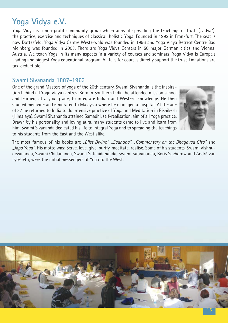### **Yoga Vidya e.V.**

Yoga Vidya is a non-profit community group which aims at spreading the teachings of truth ("vidya"), the practice, exercise and techniques of classical, holistic Yoga. Founded in 1992 in Frankfurt. The seat is now Döttesfeld. Yoga Vidya Centre Westerwald was founded in 1996 and Yoga Vidya Retreat Centre Bad Meinberg was founded in 2003. There are Yoga Vidya Centers in 50 major German cities and Vienna, Austria. We teach Yoga in its many aspects in a variety of courses and seminars; Yoga Vidya is Europe's leading and biggest Yoga educational program. All fees for courses directly support the trust. Donations are tax-deductible.

### **Swami Sivananda 1887-1963**

One of the grand Masters of yoga of the 20th century, Swami Sivananda is the inspiration behind all Yoga Vidya centres. Born in Southern India, he attended mission school and learned, at a young age, to integrate Indian and Western knowledge. He then studied medicine and emigrated to Malaysia where he managed a hospital. At the age of 37 he returned to India to do intensive practice of Yoga and Meditation in Rishikesh (Himalaya). Swami Sivananda attained Samadhi, self-realisation, aim of all Yoga practice. Drawn by his personality and loving aura, many students came to live and learn from him. Swami Sivananda dedicated his life to integral Yoga and to spreading the teachings to his students from the East and the West alike.



The most famous of his books are *"Bliss Divine", "Sadhana", "Commentary on the Bhagavad Gita"* and *"Japa Yoga"*. His motto was: Serve, love, give, purify, meditate, realise. Some of his students, Swami Vishnudevananda, Swami Chidananda, Swami Satchidananda, Swami Satyananda, Boris Sacharow and André van Lysebeth, were the initial messengers of Yoga to the West.